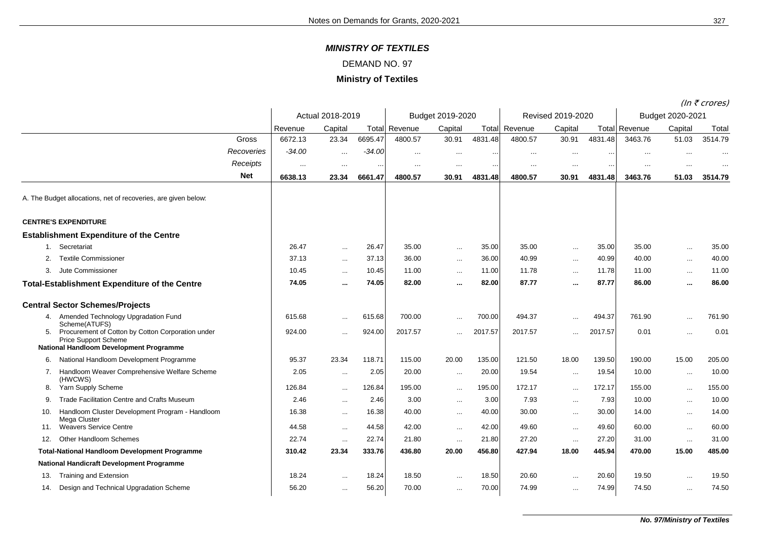*MINISTRY OF TEXTILES*

## DEMAND NO. 97

## **Ministry of Textiles**

(In  $\bar{\tau}$  crores)

|     |                                                                                                                                                     |            |          |                  |          |                      |                  |         |                   |               |         |                      |           | $(III \cup UUE3)$ |
|-----|-----------------------------------------------------------------------------------------------------------------------------------------------------|------------|----------|------------------|----------|----------------------|------------------|---------|-------------------|---------------|---------|----------------------|-----------|-------------------|
|     |                                                                                                                                                     |            |          | Actual 2018-2019 |          |                      | Budget 2019-2020 |         | Revised 2019-2020 |               |         | Budget 2020-2021     |           |                   |
|     |                                                                                                                                                     |            | Revenue  | Capital          |          | <b>Total Revenue</b> | Capital          | Total   | Revenue           | Capital       |         | <b>Total Revenue</b> | Capital   | Total             |
|     |                                                                                                                                                     | Gross      | 6672.13  | 23.34            | 6695.47  | 4800.57              | 30.91            | 4831.48 | 4800.57           | 30.91         | 4831.48 | 3463.76              | 51.03     | 3514.79           |
|     |                                                                                                                                                     | Recoveries | $-34.00$ | $\cdots$         | $-34.00$ | $\cdots$             | $\cdots$         |         | $\cdots$          | $\cdots$      |         | $\cdots$             | $\ddotsc$ | $\cdots$          |
|     |                                                                                                                                                     | Receipts   | $\cdots$ | $\cdots$         | $\cdots$ |                      | $\cdots$         |         |                   | $\cdots$      |         |                      |           |                   |
|     |                                                                                                                                                     | <b>Net</b> | 6638.13  | 23.34            | 6661.47  | 4800.57              | 30.91            | 4831.48 | 4800.57           | 30.91         | 4831.48 | 3463.76              | 51.03     | 3514.79           |
|     | A. The Budget allocations, net of recoveries, are given below:                                                                                      |            |          |                  |          |                      |                  |         |                   |               |         |                      |           |                   |
|     | <b>CENTRE'S EXPENDITURE</b>                                                                                                                         |            |          |                  |          |                      |                  |         |                   |               |         |                      |           |                   |
|     | <b>Establishment Expenditure of the Centre</b>                                                                                                      |            |          |                  |          |                      |                  |         |                   |               |         |                      |           |                   |
|     | Secretariat                                                                                                                                         |            | 26.47    | $\ldots$         | 26.47    | 35.00                | $\ldots$         | 35.00   | 35.00             | $\ldots$      | 35.00   | 35.00                | $\cdots$  | 35.00             |
| 2.  | <b>Textile Commissioner</b>                                                                                                                         |            | 37.13    | $\cdots$         | 37.13    | 36.00                | $\cdots$         | 36.00   | 40.99             | $\ddotsc$     | 40.99   | 40.00                | $\ddotsc$ | 40.00             |
| 3.  | Jute Commissioner                                                                                                                                   |            | 10.45    | $\cdots$         | 10.45    | 11.00                | $\cdots$         | 11.00   | 11.78             | $\cdots$      | 11.78   | 11.00                | $\ddotsc$ | 11.00             |
|     | <b>Total-Establishment Expenditure of the Centre</b>                                                                                                |            | 74.05    | $\cdots$         | 74.05    | 82.00                | $\cdots$         | 82.00   | 87.77             | $\cdots$      | 87.77   | 86.00                | $\cdots$  | 86.00             |
|     | <b>Central Sector Schemes/Projects</b>                                                                                                              |            |          |                  |          |                      |                  |         |                   |               |         |                      |           |                   |
|     | 4. Amended Technology Upgradation Fund                                                                                                              |            | 615.68   | $\ddotsc$        | 615.68   | 700.00               | $\ddotsc$        | 700.00  | 494.37            | $\cdots$      | 494.37  | 761.90               | $\ddotsc$ | 761.90            |
| 5.  | Scheme(ATUFS)<br>Procurement of Cotton by Cotton Corporation under<br><b>Price Support Scheme</b><br><b>National Handloom Development Programme</b> |            | 924.00   | $\ddotsc$        | 924.00   | 2017.57              |                  | 2017.57 | 2017.57           |               | 2017.57 | 0.01                 |           | 0.01              |
| 6.  | National Handloom Development Programme                                                                                                             |            | 95.37    | 23.34            | 118.71   | 115.00               | 20.00            | 135.00  | 121.50            | 18.00         | 139.50  | 190.00               | 15.00     | 205.00            |
|     | 7. Handloom Weaver Comprehensive Welfare Scheme<br>(HWCWS)                                                                                          |            | 2.05     | $\ddotsc$        | 2.05     | 20.00                | $\cdots$         | 20.00   | 19.54             | $\ldots$      | 19.54   | 10.00                | $\ddotsc$ | 10.00             |
| 8.  | Yarn Supply Scheme                                                                                                                                  |            | 126.84   | $\cdots$         | 126.84   | 195.00               | $\cdots$         | 195.00  | 172.17            | $\ldots$      | 172.17  | 155.00               | $\ddotsc$ | 155.00            |
| 9.  | Trade Facilitation Centre and Crafts Museum                                                                                                         |            | 2.46     | $\cdots$         | 2.46     | 3.00                 | $\cdots$         | 3.00    | 7.93              | $\cdots$      | 7.93    | 10.00                | $\cdots$  | 10.00             |
| 10. | Handloom Cluster Development Program - Handloom<br>Mega Cluster                                                                                     |            | 16.38    | $\cdots$         | 16.38    | 40.00                | $\ldots$         | 40.00   | 30.00             | $\sim$ $\sim$ | 30.00   | 14.00                | $\cdots$  | 14.00             |
| 11. | <b>Weavers Service Centre</b>                                                                                                                       |            | 44.58    | $\cdots$         | 44.58    | 42.00                | $\cdots$         | 42.00   | 49.60             | $\ldots$      | 49.60   | 60.00                | $\ddotsc$ | 60.00             |
| 12. | Other Handloom Schemes                                                                                                                              |            | 22.74    | $\sim$           | 22.74    | 21.80                | $\sim$           | 21.80   | 27.20             | $\ldots$      | 27.20   | 31.00                | $\cdots$  | 31.00             |
|     | <b>Total-National Handloom Development Programme</b>                                                                                                |            | 310.42   | 23.34            | 333.76   | 436.80               | 20.00            | 456.80  | 427.94            | 18.00         | 445.94  | 470.00               | 15.00     | 485.00            |
|     | <b>National Handicraft Development Programme</b>                                                                                                    |            |          |                  |          |                      |                  |         |                   |               |         |                      |           |                   |
| 13. | <b>Training and Extension</b>                                                                                                                       |            | 18.24    | $\ldots$         | 18.24    | 18.50                | $\ldots$         | 18.50   | 20.60             | $\ldots$      | 20.60   | 19.50                | $\cdots$  | 19.50             |
| 14. | Design and Technical Upgradation Scheme                                                                                                             |            | 56.20    | $\cdots$         | 56.20    | 70.00                | $\ddotsc$        | 70.00   | 74.99             | $\ddotsc$     | 74.99   | 74.50                |           | 74.50             |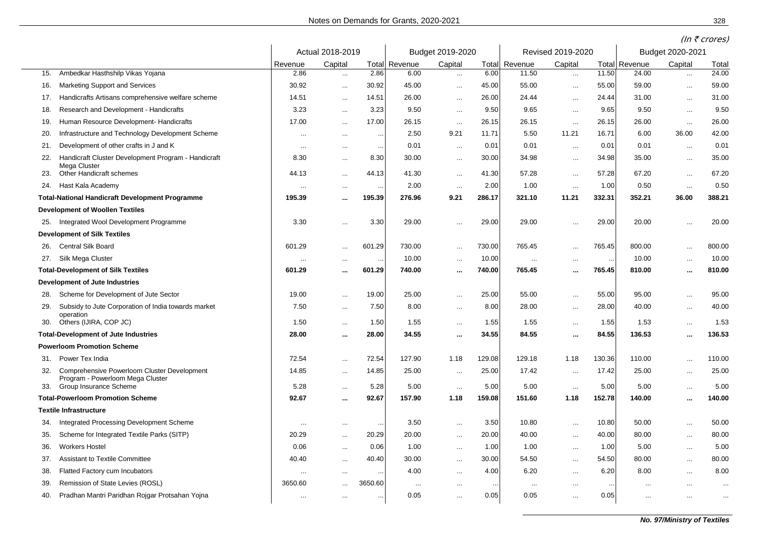|     |                                                                                 |                  |           |                      |                  |               |           | Revised 2019-2020             |           |                | $(III \setminus U \cup U \subset I)$ |           |                |  |
|-----|---------------------------------------------------------------------------------|------------------|-----------|----------------------|------------------|---------------|-----------|-------------------------------|-----------|----------------|--------------------------------------|-----------|----------------|--|
|     |                                                                                 | Actual 2018-2019 |           |                      | Budget 2019-2020 |               |           |                               |           |                | Budget 2020-2021                     |           |                |  |
| 15. | Ambedkar Hasthshilp Vikas Yojana                                                | Revenue<br>2.86  | Capital   | Total<br>2.86        | Revenue<br>6.00  | Capital       | 6.00      | <b>Total Revenue</b><br>11.50 | Capital   | Total<br>11.50 | Revenue<br>24.00                     | Capital   | Total<br>24.00 |  |
|     |                                                                                 | 30.92            | $\cdots$  |                      | 45.00            | $\sim$        | 45.00     | 55.00                         | $\sim$    | 55.00          | 59.00                                | $\ldots$  | 59.00          |  |
| 16. | <b>Marketing Support and Services</b>                                           |                  | $\ddotsc$ | 30.92                |                  | $\ddotsc$     |           |                               | $\ldots$  |                |                                      | $\ddotsc$ |                |  |
| 17. | Handicrafts Artisans comprehensive welfare scheme                               | 14.51            | $\sim$    | 14.51                | 26.00            | $\ldots$      | 26.00     | 24.44                         | $\ddotsc$ | 24.44          | 31.00                                | $\ldots$  | 31.00          |  |
| 18. | Research and Development - Handicrafts                                          | 3.23             | $\sim$    | 3.23                 | 9.50             | $\sim$        | 9.50      | 9.65                          | $\sim$    | 9.65           | 9.50                                 | $\sim$    | 9.50           |  |
| 19. | Human Resource Development- Handicrafts                                         | 17.00            | $\ddotsc$ | 17.00                | 26.15            | $\ldots$      | 26.15     | 26.15                         | $\ldots$  | 26.15          | 26.00                                | $\ldots$  | 26.00          |  |
| 20. | Infrastructure and Technology Development Scheme                                | $\ddotsc$        | $\cdots$  | $\ddotsc$            | 2.50             | 9.21          | 11.71     | 5.50                          | 11.21     | 16.71          | 6.00                                 | 36.00     | 42.00          |  |
| 21. | Development of other crafts in J and K                                          |                  | $\ddotsc$ | $\cdots$             | 0.01             | $\sim$ $\sim$ | 0.01      | 0.01                          | $\sim$    | 0.01           | 0.01                                 | $\sim$    | 0.01           |  |
| 22. | Handicraft Cluster Development Program - Handicraft<br>Mega Cluster             | 8.30             | $\ddotsc$ | 8.30                 | 30.00            | $\ldots$      | 30.00     | 34.98                         | $\ddotsc$ | 34.98          | 35.00                                | $\ldots$  | 35.00          |  |
| 23. | Other Handicraft schemes                                                        | 44.13            | $\ddotsc$ | 44.13                | 41.30            | $\sim$        | 41.30     | 57.28                         | $\sim$    | 57.28          | 67.20                                | $\sim$    | 67.20          |  |
| 24. | Hast Kala Academy                                                               |                  | $\ddotsc$ | $\ddot{\phantom{0}}$ | 2.00             | $\ldots$      | 2.00      | 1.00                          | $\ddotsc$ | 1.00           | 0.50                                 | $\sim$    | 0.50           |  |
|     | <b>Total-National Handicraft Development Programme</b>                          | 195.39           | $\cdots$  | 195.39               | 276.96           | 9.21          | 286.17    | 321.10                        | 11.21     | 332.31         | 352.21                               | 36.00     | 388.21         |  |
|     | <b>Development of Woollen Textiles</b>                                          |                  |           |                      |                  |               |           |                               |           |                |                                      |           |                |  |
| 25. | Integrated Wool Development Programme                                           | 3.30             | $\ddotsc$ | 3.30                 | 29.00            | $\ddotsc$     | 29.00     | 29.00                         | $\sim$    | 29.00          | 20.00                                | $\ddotsc$ | 20.00          |  |
|     | <b>Development of Silk Textiles</b>                                             |                  |           |                      |                  |               |           |                               |           |                |                                      |           |                |  |
| 26. | Central Silk Board                                                              | 601.29           | $\ddotsc$ | 601.29               | 730.00           | $\ldots$      | 730.00    | 765.45                        | $\ddotsc$ | 765.45         | 800.00                               | $\cdots$  | 800.00         |  |
| 27. | Silk Mega Cluster                                                               | $\ddotsc$        | $\ddotsc$ | $\ddotsc$            | 10.00            | $\ddotsc$     | 10.00     | $\ddotsc$                     | $\cdots$  |                | 10.00                                | $\cdots$  | 10.00          |  |
|     | <b>Total-Development of Silk Textiles</b>                                       | 601.29           | $\ddotsc$ | 601.29               | 740.00           | $\ddotsc$     | 740.00    | 765.45                        | $\cdots$  | 765.45         | 810.00                               | $\ddotsc$ | 810.00         |  |
|     | <b>Development of Jute Industries</b>                                           |                  |           |                      |                  |               |           |                               |           |                |                                      |           |                |  |
| 28. | Scheme for Development of Jute Sector                                           | 19.00            | $\ddotsc$ | 19.00                | 25.00            | $\ddotsc$     | 25.00     | 55.00                         | $\ddotsc$ | 55.00          | 95.00                                | $\ddotsc$ | 95.00          |  |
| 29. | Subsidy to Jute Corporation of India towards market                             | 7.50             | $\sim$    | 7.50                 | 8.00             | $\sim$        | 8.00      | 28.00                         | $\sim$    | 28.00          | 40.00                                | $\ldots$  | 40.00          |  |
| 30. | operation<br>Others (IJIRA, COP JC)                                             | 1.50             |           | 1.50                 | 1.55             |               | 1.55      | 1.55                          |           | 1.55           | 1.53                                 |           | 1.53           |  |
|     | <b>Total-Development of Jute Industries</b>                                     | 28.00            | $\ddotsc$ | 28.00                | 34.55            | $\ddotsc$     | 34.55     | 84.55                         | $\sim$    | 84.55          | 136.53                               | $\ddotsc$ | 136.53         |  |
|     | <b>Powerloom Promotion Scheme</b>                                               |                  | $\cdots$  |                      |                  |               |           |                               | $\cdots$  |                |                                      | $\cdots$  |                |  |
|     | Power Tex India                                                                 | 72.54            |           | 72.54                | 127.90           | 1.18          | 129.08    | 129.18                        | 1.18      | 130.36         | 110.00                               |           | 110.00         |  |
| 31. |                                                                                 |                  | $\ddotsc$ |                      |                  |               |           | 17.42                         |           |                |                                      | $\ddotsc$ | 25.00          |  |
| 32. | Comprehensive Powerloom Cluster Development<br>Program - Powerloom Mega Cluster | 14.85            | $\ddotsc$ | 14.85                | 25.00            | $\ldots$      | 25.00     |                               | $\ldots$  | 17.42          | 25.00                                | $\cdots$  |                |  |
| 33. | Group Insurance Scheme                                                          | 5.28             | $\ddotsc$ | 5.28                 | 5.00             | $\ldots$      | 5.00      | 5.00                          | $\ldots$  | 5.00           | 5.00                                 | $\ddotsc$ | 5.00           |  |
|     | <b>Total-Powerloom Promotion Scheme</b>                                         | 92.67            | $\ddotsc$ | 92.67                | 157.90           | 1.18          | 159.08    | 151.60                        | 1.18      | 152.78         | 140.00                               | $\cdots$  | 140.00         |  |
|     | <b>Textile Infrastructure</b>                                                   |                  |           |                      |                  |               |           |                               |           |                |                                      |           |                |  |
| 34. | Integrated Processing Development Scheme                                        |                  | $\ddotsc$ | $\ddotsc$            | 3.50             | $\ldots$      | 3.50      | 10.80                         | $\ddotsc$ | 10.80          | 50.00                                | $\cdots$  | 50.00          |  |
| 35. | Scheme for Integrated Textile Parks (SITP)                                      | 20.29            | $\ddotsc$ | 20.29                | 20.00            | $\ddotsc$     | 20.00     | 40.00                         | $\ddotsc$ | 40.00          | 80.00                                | $\ddotsc$ | 80.00          |  |
| 36. | <b>Workers Hostel</b>                                                           | 0.06             | $\ddotsc$ | 0.06                 | 1.00             | $\ddotsc$     | 1.00      | 1.00                          | $\ddotsc$ | 1.00           | 5.00                                 | $\ddotsc$ | 5.00           |  |
| 37. | <b>Assistant to Textile Committee</b>                                           | 40.40            | $\sim$    | 40.40                | 30.00            | $\sim$        | 30.00     | 54.50                         | $\sim$    | 54.50          | 80.00                                | $\sim$    | 80.00          |  |
| 38. | Flatted Factory cum Incubators                                                  |                  | $\ddotsc$ | $\ddotsc$            | 4.00             | $\ddotsc$     | 4.00      | 6.20                          | $\ldots$  | 6.20           | 8.00                                 | $\ldots$  | 8.00           |  |
| 39. | Remission of State Levies (ROSL)                                                | 3650.60          | $\ddotsc$ | 3650.60              | $\cdots$         | $\cdots$      | $\ddotsc$ | $\cdots$                      | $\cdots$  | $\sim$         | $\ddotsc$                            | $\cdots$  | $\ddotsc$      |  |
| 40. | Pradhan Mantri Paridhan Rojgar Protsahan Yojna                                  | $\cdots$         | $\cdots$  | $\ldots$             | 0.05             | $\ddotsc$     | 0.05      | 0.05                          | $\cdots$  | 0.05           | $\sim$ - $\sim$                      | $\cdots$  | $\sim$ $\sim$  |  |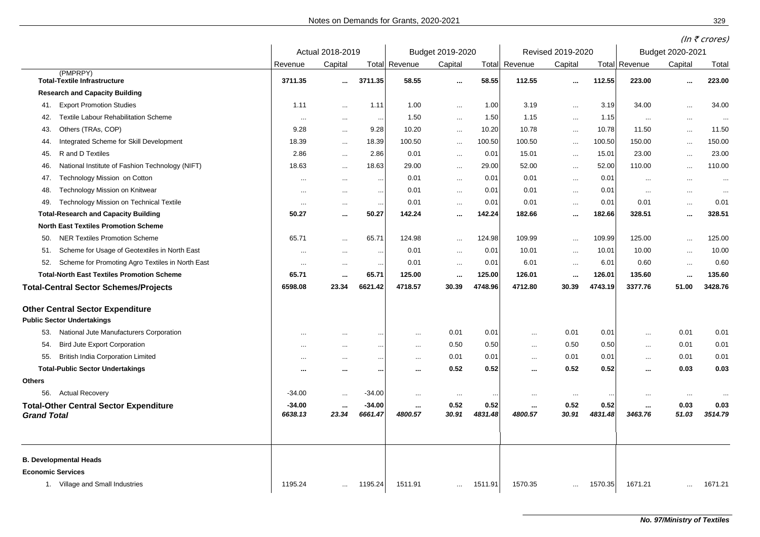|                                                                                              |                     |                    |                     |                          |                  |                 |                          |                   |                 |                     |                  | (In $\bar{\tau}$ crores) |  |  |
|----------------------------------------------------------------------------------------------|---------------------|--------------------|---------------------|--------------------------|------------------|-----------------|--------------------------|-------------------|-----------------|---------------------|------------------|--------------------------|--|--|
|                                                                                              |                     | Actual 2018-2019   |                     |                          | Budget 2019-2020 |                 |                          | Revised 2019-2020 |                 |                     | Budget 2020-2021 |                          |  |  |
|                                                                                              | Revenue             | Capital            | Total               | Revenue                  | Capital          | Total           | Revenue                  | Capital           | Total           | Revenue             | Capital          | Total                    |  |  |
| (PMPRPY)<br><b>Total-Textile Infrastructure</b>                                              | 3711.35             |                    | 3711.35             | 58.55                    | m.               | 58.55           | 112.55                   | $\cdots$          | 112.55          | 223.00              |                  | 223.00                   |  |  |
| <b>Research and Capacity Building</b>                                                        |                     |                    |                     |                          |                  |                 |                          |                   |                 |                     |                  |                          |  |  |
| <b>Export Promotion Studies</b><br>41.                                                       | 1.11                | $\ddotsc$          | 1.11                | 1.00                     | $\cdots$         | 1.00            | 3.19                     | $\cdots$          | 3.19            | 34.00               | $\cdots$         | 34.00                    |  |  |
| <b>Textile Labour Rehabilitation Scheme</b><br>42.                                           | $\cdots$            | $\cdots$           | $\cdots$            | 1.50                     | $\cdots$         | 1.50            | 1.15                     | $\cdots$          | 1.15            | $\cdots$            | $\cdots$         | $\cdots$                 |  |  |
| Others (TRAs, COP)<br>43.                                                                    | 9.28                | $\cdots$           | 9.28                | 10.20                    | $\ldots$         | 10.20           | 10.78                    | $\cdots$          | 10.78           | 11.50               | $\cdots$         | 11.50                    |  |  |
| Integrated Scheme for Skill Development<br>44.                                               | 18.39               | $\ddotsc$          | 18.39               | 100.50                   | $\cdots$         | 100.50          | 100.50                   | $\cdots$          | 100.50          | 150.00              | $\ddotsc$        | 150.00                   |  |  |
| R and D Textiles<br>45.                                                                      | 2.86                | $\ddotsc$          | 2.86                | 0.01                     | $\ldots$         | 0.01            | 15.01                    | $\cdots$          | 15.01           | 23.00               | $\ddotsc$        | 23.00                    |  |  |
| National Institute of Fashion Technology (NIFT)<br>46.                                       | 18.63               |                    | 18.63               | 29.00                    | $\ldots$         | 29.00           | 52.00                    | $\ldots$          | 52.00           | 110.00              | $\ddotsc$        | 110.00                   |  |  |
| Technology Mission on Cotton<br>47.                                                          | $\cdots$            | $\cdots$           | $\cdots$            | 0.01                     | $\cdots$         | 0.01            | 0.01                     | $\cdots$          | 0.01            | $\cdots$            | $\cdots$         | $\ddotsc$                |  |  |
| Technology Mission on Knitwear<br>48.                                                        | $\cdots$            | $\ddotsc$          | $\cdots$            | 0.01                     | $\cdots$         | 0.01            | 0.01                     | $\cdots$          | 0.01            | $\cdots$            | $\cdots$         | $\ddotsc$                |  |  |
| Technology Mission on Technical Textile<br>49.                                               | $\cdots$            | $\ddotsc$          | $\ldots$            | 0.01                     | $\cdots$         | 0.01            | 0.01                     | $\ddotsc$         | 0.01            | 0.01                | $\ddotsc$        | 0.01                     |  |  |
| <b>Total-Research and Capacity Building</b>                                                  | 50.27               |                    | 50.27               | 142.24                   | m.               | 142.24          | 182.66                   | œ.                | 182.66          | 328.51              | $\ddotsc$        | 328.51                   |  |  |
| <b>North East Textiles Promotion Scheme</b>                                                  |                     |                    |                     |                          |                  |                 |                          |                   |                 |                     |                  |                          |  |  |
| <b>NER Textiles Promotion Scheme</b><br>50.                                                  | 65.71               | $\ddotsc$          | 65.71               | 124.98                   | $\ddotsc$        | 124.98          | 109.99                   | $\ddotsc$         | 109.99          | 125.00              | $\ddotsc$        | 125.00                   |  |  |
| Scheme for Usage of Geotextiles in North East<br>51.                                         | $\cdots$            | $\cdots$           | $\sim$              | 0.01                     | $\cdots$         | 0.01            | 10.01                    | $\cdots$          | 10.01           | 10.00               | $\cdots$         | 10.00                    |  |  |
| Scheme for Promoting Agro Textiles in North East<br>52.                                      | $\cdots$            | $\cdots$           | $\sim$              | 0.01                     | $\sim$ $\sim$    | 0.01            | 6.01                     | $\cdots$          | 6.01            | 0.60                | $\cdots$         | 0.60                     |  |  |
| <b>Total-North East Textiles Promotion Scheme</b>                                            | 65.71               | $\cdots$           | 65.71               | 125.00                   | $\cdots$         | 125.00          | 126.01                   | $\cdots$          | 126.01          | 135.60              | $\cdots$         | 135.60                   |  |  |
| <b>Total-Central Sector Schemes/Projects</b>                                                 | 6598.08             | 23.34              | 6621.42             | 4718.57                  | 30.39            | 4748.96         | 4712.80                  | 30.39             | 4743.19         | 3377.76             | 51.00            | 3428.76                  |  |  |
| <b>Other Central Sector Expenditure</b><br><b>Public Sector Undertakings</b>                 |                     |                    |                     |                          |                  |                 |                          |                   |                 |                     |                  |                          |  |  |
| National Jute Manufacturers Corporation<br>53.                                               | $\ddotsc$           |                    | $\cdots$            | $\cdots$                 | 0.01             | 0.01            | $\ddotsc$                | 0.01              | 0.01            | $\cdots$            | 0.01             | 0.01                     |  |  |
| <b>Bird Jute Export Corporation</b><br>54.                                                   | $\cdots$            |                    | $\cdots$            | $\cdots$                 | 0.50             | 0.50            | $\sim$ $\sim$            | 0.50              | 0.50            | $\cdots$            | 0.01             | 0.01                     |  |  |
| <b>British India Corporation Limited</b><br>55.                                              | $\cdots$            | $\ddotsc$          | $\ddotsc$           | $\sim$ $\sim$            | 0.01             | 0.01            | $\sim$ $\sim$            | 0.01              | 0.01            | $\cdots$            | 0.01             | 0.01                     |  |  |
| <b>Total-Public Sector Undertakings</b>                                                      | - 11                |                    | $\cdots$            | $\cdots$                 | 0.52             | 0.52            | $\ddotsc$                | 0.52              | 0.52            | $\cdots$            | 0.03             | 0.03                     |  |  |
| <b>Others</b>                                                                                |                     |                    |                     |                          |                  |                 |                          |                   |                 |                     |                  |                          |  |  |
| 56. Actual Recovery                                                                          | $-34.00$            | $\ldots$           | $-34.00$            | $\cdots$                 | $\ldots$         | $\ddotsc$       | $\cdots$                 | $\ddotsc$         | $\cdot$ .       | $\cdots$            | $\ddotsc$        |                          |  |  |
| <b>Total-Other Central Sector Expenditure</b><br><b>Grand Total</b>                          | $-34.00$<br>6638.13 | $\ddotsc$<br>23.34 | $-34.00$<br>6661.47 | $\sim$ $\sim$<br>4800.57 | 0.52<br>30.91    | 0.52<br>4831.48 | $\sim$ $\sim$<br>4800.57 | 0.52<br>30.91     | 0.52<br>4831.48 | $\cdots$<br>3463.76 | 0.03<br>51.03    | 0.03<br>3514.79          |  |  |
| <b>B. Developmental Heads</b><br><b>Economic Services</b><br>1. Village and Small Industries | 1195.24             |                    | 1195.24             | 1511.91                  | $\ddotsc$        | 1511.91         | 1570.35                  | $\ddotsc$         | 1570.35         | 1671.21             | $\cdots$         | 1671.21                  |  |  |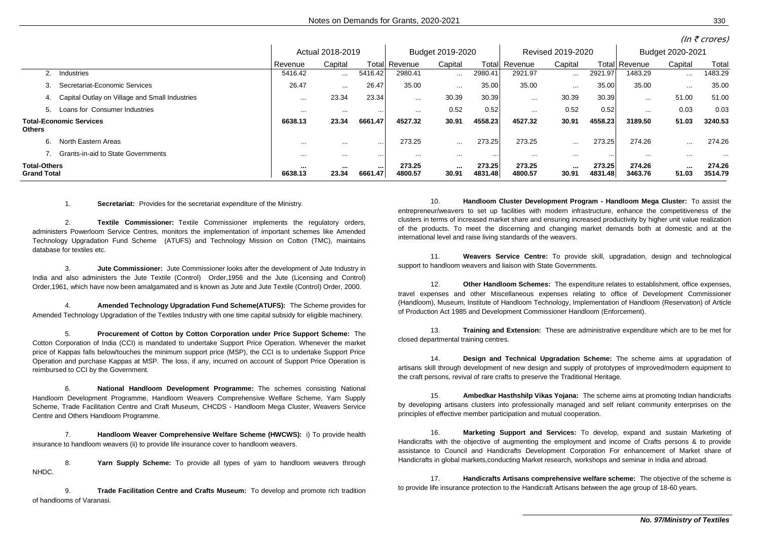|                                                 |                                                | Actual 2018-2019 |           |             | Budget 2019-2020      |           |                   | Revised 2019-2020 |           |                   | Budget 2020-2021     |                 |                   |
|-------------------------------------------------|------------------------------------------------|------------------|-----------|-------------|-----------------------|-----------|-------------------|-------------------|-----------|-------------------|----------------------|-----------------|-------------------|
|                                                 |                                                | Revenue          | Capital   |             | <b>Totall Revenue</b> | Capital   |                   | Totall Revenue    | Capital   |                   | <b>Total Revenue</b> | Capital         | Total             |
|                                                 | Industries                                     | 5416.42          | $\cdots$  | 5416.42     | 2980.41               | $\cdots$  | 2980.41           | 2921.97           | $\cdots$  | 2921.97           | 1483.29              | $\ldots$        | 1483.29           |
| 3.                                              | Secretariat-Economic Services                  | 26.47            | $\cdots$  | 26.47       | 35.00                 | $\cdots$  | 35.00             | 35.00             | $\cdots$  | 35.00             | 35.00                | $\cdots$        | 35.00             |
| 4.                                              | Capital Outlay on Village and Small Industries | $\cdots$         | 23.34     | 23.34       | $\cdots$              | 30.39     | 30.39             | $\cdots$          | 30.39     | 30.39             | $\cdots$             | 51.00           | 51.00             |
| 5.                                              | Loans for Consumer Industries                  | $\cdots$         | $\cdots$  | .           | .                     | 0.52      | 0.52              | $\cdots$          | 0.52      | 0.52              | $\cdots$             | 0.03            | 0.03              |
| <b>Total-Economic Services</b><br><b>Others</b> |                                                | 6638.13          | 23.34     | 6661.47     | 4527.32               | 30.91     | 4558.23           | 4527.32           | 30.91     | 4558.23           | 3189.50              | 51.03           | 3240.53           |
| 6.                                              | North Eastern Areas                            | $\cdots$         | $\cdots$  |             | 273.25                | $\cdots$  | 273.25            | 273.25            | $\cdots$  | 273.25            | 274.26               | $\cdots$        | 274.26            |
|                                                 | <b>Grants-in-aid to State Governments</b>      | $\cdots$         | $\cdots$  | $\cdots$    | .                     | $\cdots$  |                   | $\cdots$          | $\cdots$  |                   |                      | .               |                   |
| <b>Total-Others</b><br><b>Grand Total</b>       |                                                | ---<br>6638.13   | <br>23.34 | <br>6661.47 | 273.25<br>4800.57     | <br>30.91 | 273.25<br>4831.48 | 273.25<br>4800.57 | <br>30.91 | 273.25<br>4831.48 | 274.26<br>3463.76    | $\sim$<br>51.03 | 274.26<br>3514.79 |

1. **Secretariat:** Provides for the secretariat expenditure of the Ministry.

2. **Textile Commissioner:** Textile Commissioner implements the regulatory orders, administers Powerloom Service Centres, monitors the implementation of important schemes like Amended Technology Upgradation Fund Scheme (ATUFS) and Technology Mission on Cotton (TMC), maintains database for textiles etc.

3. **Jute Commissioner:** Jute Commissioner looks after the development of Jute Industry in India and also administers the Jute Textile (Control) Order,1956 and the Jute (Licensing and Control) Order,1961, which have now been amalgamated and is known as Jute and Jute Textile (Control) Order, 2000.

4. **Amended Technology Upgradation Fund Scheme(ATUFS):** The Scheme provides for Amended Technology Upgradation of the Textiles Industry with one time capital subsidy for eligible machinery.

5. **Procurement of Cotton by Cotton Corporation under Price Support Scheme:**..The Cotton Corporation of India (CCI) is mandated to undertake Support Price Operation. Whenever the market price of Kappas falls below/touches the minimum support price (MSP), the CCI is to undertake Support Price Operation and purchase Kappas at MSP. The loss, if any, incurred on account of Support Price Operation is reimbursed to CCI by the Government.

6. **National Handloom Development Programme:**..The schemes consisting National Handloom Development Programme, Handloom Weavers Comprehensive Welfare Scheme, Yarn Supply Scheme, Trade Facilitation Centre and Craft Museum, CHCDS - Handloom Mega Cluster, Weavers Service Centre and Others Handloom Programme.

7. **Handloom Weaver Comprehensive Welfare Scheme (HWCWS):** i) To provide health insurance to handloom weavers (ii) to provide life insurance cover to handloom weavers.

8. **Yarn Supply Scheme:** To provide all types of yarn to handloom weavers through NHDC.

9. **Trade Facilitation Centre and Crafts Museum:** To develop and promote rich tradition of handlooms of Varanasi.

10. **Handloom Cluster Development Program - Handloom Mega Cluster:**..To assist the entrepreneur/weavers to set up facilities with modern infrastructure, enhance the competitiveness of the clusters in terms of increased market share and ensuring increased productivity by higher unit value realization of the products. To meet the discerning and changing market demands both at domestic and at the international level and raise living standards of the weavers.

11. **Weavers Service Centre:** To provide skill, upgradation, design and technological support to handloom weavers and liaison with State Governments.

12. **Other Handloom Schemes:** The expenditure relates to establishment, office expenses, travel expenses and other Miscellaneous expenses relating to office of Development Commissioner (Handloom), Museum, Institute of Handloom Technology, Implementation of Handloom (Reservation) of Article of Production Act 1985 and Development Commissioner Handloom (Enforcement).

13. **Training and Extension:** These are administrative expenditure which are to be met for closed departmental training centres.

14. **Design and Technical Upgradation Scheme:** The scheme aims at upgradation of artisans skill through development of new design and supply of prototypes of improved/modern equipment to the craft persons, revival of rare crafts to preserve the Traditional Heritage.

15. **Ambedkar Hasthshilp Vikas Yojana:**..The scheme aims at promoting Indian handicrafts by developing artisans clusters into professionally managed and self reliant community enterprises on the principles of effective member participation and mutual cooperation.

16. **Marketing Support and Services:**..To develop, expand and sustain Marketing of Handicrafts with the objective of augmenting the employment and income of Crafts persons & to provide assistance to Council and Handicrafts Development Corporation For enhancement of Market share of Handicrafts in global markets,conducting Market research, workshops and seminar in India and abroad.

17. **Handicrafts Artisans comprehensive welfare scheme:**..The objective of the scheme is to provide life insurance protection to the Handicraft Artisans between the age group of 18-60 years.

 $(ln \overline{\epsilon}$  crores)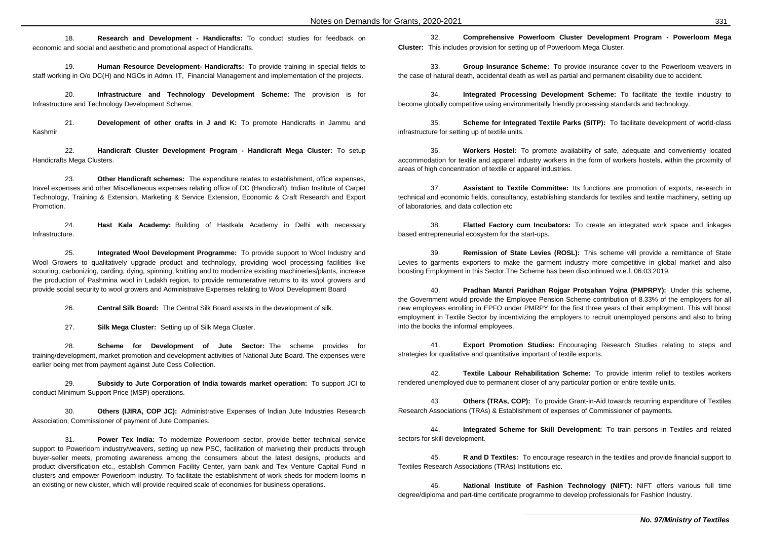18. **Research and Development - Handicrafts:**..To conduct studies for feedback on economic and social and aesthetic and promotional aspect of Handicrafts.

19. **Human Resource Development- Handicrafts:**..To provide training in special fields to staff working in O/o DC(H) and NGOs in Admn. IT, Financial Management and implementation of the projects.

20. **Infrastructure and Technology Development Scheme:** The provision is for Infrastructure and Technology Development Scheme.

21. **Development of other crafts in J and K:** To promote Handicrafts in Jammu and Kashmir

22. **Handicraft Cluster Development Program - Handicraft Mega Cluster:**..To setup Handicrafts Mega Clusters.

23. **Other Handicraft schemes:** The expenditure relates to establishment, office expenses, travel expenses and other Miscellaneous expenses relating office of DC (Handicraft), Indian Institute of Carpet Technology, Training & Extension, Marketing & Service Extension, Economic & Craft Research and Export Promotion.

24. **Hast Kala Academy:** Building of Hastkala Academy in Delhi with necessary Infrastructure.

25. **Integrated Wool Development Programme:** To provide support to Wool Industry and Wool Growers to qualitatively upgrade product and technology, providing wool processing facilities like scouring, carbonizing, carding, dying, spinning, knitting and to modernize existing machineries/plants, increase the production of Pashmina wool in Ladakh region, to provide remunerative returns to its wool growers and provide social security to wool growers and Administraive Expenses relating to Wool Development Board

26. **Central Silk Board:**..The Central Silk Board assists in the development of silk.

27. **Silk Mega Cluster:** Setting up of Silk Mega Cluster.

28. **Scheme for Development of Jute Sector:** The scheme provides for training/development, market promotion and development activities of National Jute Board. The expenses were earlier being met from payment against Jute Cess Collection.

29. **Subsidy to Jute Corporation of India towards market operation:**..To support JCI to conduct Minimum Support Price (MSP) operations.

30. **Others (IJIRA, COP JC):** Administrative Expenses of Indian Jute Industries Research Association, Commissioner of payment of Jute Companies.

31. **Power Tex India:** To modernize Powerloom sector, provide better technical service support to Powerloom industry/weavers, setting up new PSC, facilitation of marketing their products through buyer-seller meets, promoting awareness among the consumers about the latest designs, products and product diversification etc., establish Common Facility Center, yarn bank and Tex Venture Capital Fund in clusters and empower Powerloom industry. To facilitate the establishment of work sheds for modern looms in an existing or new cluster, which will provide required scale of economies for business operations.

32. **Comprehensive Powerloom Cluster Development Program - Powerloom Mega Cluster:** This includes provision for setting up of Powerloom Mega Cluster.

33. **Group Insurance Scheme:** To provide insurance cover to the Powerloom weavers in the case of natural death, accidental death as well as partial and permanent disability due to accident.

34. **Integrated Processing Development Scheme:**..To facilitate the textile industry to become globally competitive using environmentally friendly processing standards and technology.

35. **Scheme for Integrated Textile Parks (SITP):** To facilitate development of world-class infrastructure for setting up of textile units.

36. **Workers Hostel:** To promote availability of safe, adequate and conveniently located accommodation for textile and apparel industry workers in the form of workers hostels, within the proximity of areas of high concentration of textile or apparel industries.

37. **Assistant to Textile Committee:** Its functions are promotion of exports, research in technical and economic fields, consultancy, establishing standards for textiles and textile machinery, setting up of laboratories, and data collection etc

38. **Flatted Factory cum Incubators:** To create an integrated work space and linkages based entrepreneurial ecosystem for the start-ups.

39. **Remission of State Levies (ROSL):**..This scheme will provide a remittance of State Levies to garments exporters to make the garment industry more competitive in global market and also boosting Employment in this Sector.The Scheme has been discontinued w.e.f. 06.03.2019.

40. **Pradhan Mantri Paridhan Rojgar Protsahan Yojna (PMPRPY):** Under this scheme, the Government would provide the Employee Pension Scheme contribution of 8.33% of the employers for all new employees enrolling in EPFO under PMRPY for the first three years of their employment. This will boost employment in Textile Sector by incentivizing the employers to recruit unemployed persons and also to bring into the books the informal employees.

41. **Export Promotion Studies:** Encouraging Research Studies relating to steps and strategies for qualitative and quantitative important of textile exports.

42. **Textile Labour Rehabilitation Scheme:** To provide interim relief to textiles workers rendered unemployed due to permanent closer of any particular portion or entire textile units.

43. **Others (TRAs, COP):** To provide Grant-in-Aid towards recurring expenditure of Textiles Research Associations (TRAs) & Establishment of expenses of Commissioner of payments.

44. **Integrated Scheme for Skill Development:**..To train persons in Textiles and related sectors for skill development.

45. **R and D Textiles:**..To encourage research in the textiles and provide financial support to Textiles Research Associations (TRAs) Institutions etc.

46. **National Institute of Fashion Technology (NIFT):** NIFT offers various full time degree/diploma and part-time certificate programme to develop professionals for Fashion Industry.